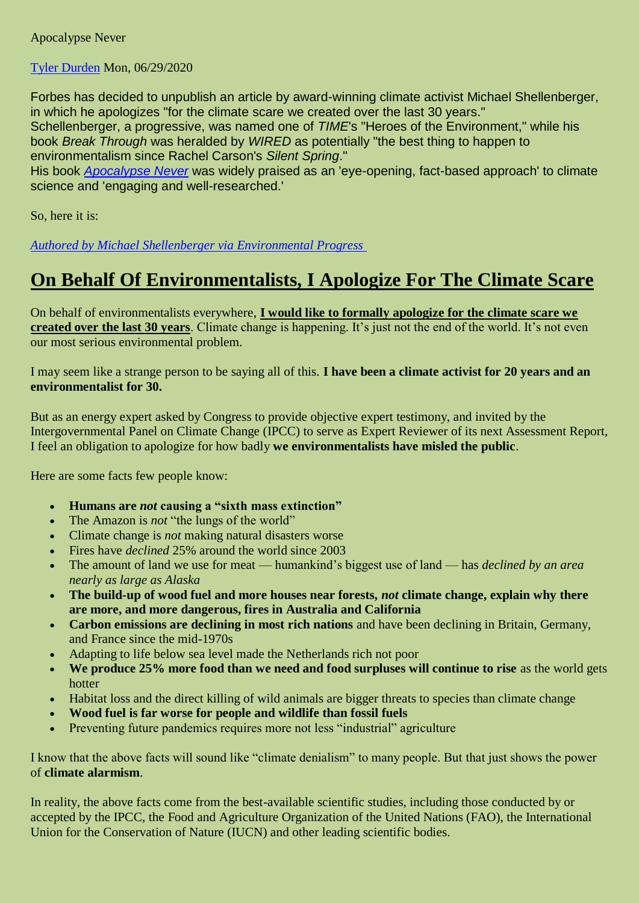## Apocalypse Never

# [Tyler Durden](https://www.zerohedge.com/users/tyler-durden) Mon, 06/29/2020

Forbes has decided to unpublish an article by award-winning climate activist Michael Shellenberger, in which he apologizes "for the climate scare we created over the last 30 years." Schellenberger, a progressive, was named one of *TIME*'s "Heroes of the Environment," while his book *Break Through* was heralded by *WIRED* as potentially "the best thing to happen to environmentalism since Rachel Carson's *Silent Spring*."

His book *[Apocalypse Never](https://www.amazon.com/Apocalypse-Never-Environmental-Alarmism-Hurts/dp/0063001691)* was widely praised as an 'eye-opening, fact-based approach' to climate science and 'engaging and well-researched.'

So, here it is:

*[Authored by Michael Shellenberger via Environmental Progress](http://environmentalprogress.org/big-news/2020/6/29/on-behalf-of-environmentalists-i-apologize-for-the-climate-scare)*

# **On Behalf Of Environmentalists, I Apologize For The Climate Scare**

On behalf of environmentalists everywhere, **I would like to formally apologize for the climate scare we created over the last 30 years**. Climate change is happening. It's just not the end of the world. It's not even our most serious environmental problem.

I may seem like a strange person to be saying all of this. **I have been a climate activist for 20 years and an environmentalist for 30.**

But as an energy expert asked by Congress to provide objective expert testimony, and invited by the Intergovernmental Panel on Climate Change (IPCC) to serve as Expert Reviewer of its next Assessment Report, I feel an obligation to apologize for how badly **we environmentalists have misled the public**.

Here are some facts few people know:

- **Humans are** *not* **causing a "sixth mass extinction"**
- The Amazon is *not* "the lungs of the world"
- Climate change is *not* making natural disasters worse
- Fires have *declined* 25% around the world since 2003
- The amount of land we use for meat humankind's biggest use of land has *declined by an area nearly as large as Alaska*
- **The build-up of wood fuel and more houses near forests,** *not* **climate change, explain why there are more, and more dangerous, fires in Australia and California**
- **Carbon emissions are declining in most rich nations** and have been declining in Britain, Germany, and France since the mid-1970s
- Adapting to life below sea level made the Netherlands rich not poor
- **We produce 25% more food than we need and food surpluses will continue to rise** as the world gets hotter
- Habitat loss and the direct killing of wild animals are bigger threats to species than climate change
- **Wood fuel is far worse for people and wildlife than fossil fuels**
- Preventing future pandemics requires more not less "industrial" agriculture

I know that the above facts will sound like "climate denialism" to many people. But that just shows the power of **climate alarmism**.

In reality, the above facts come from the best-available scientific studies, including those conducted by or accepted by the IPCC, the Food and Agriculture Organization of the United Nations (FAO), the International Union for the Conservation of Nature (IUCN) and other leading scientific bodies.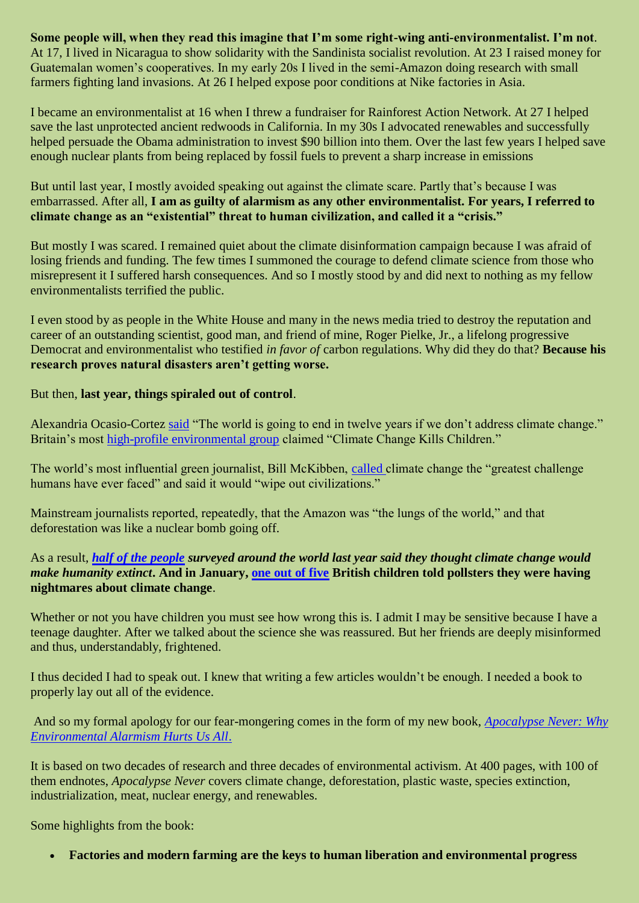**Some people will, when they read this imagine that I'm some right-wing anti-environmentalist. I'm not**. At 17, I lived in Nicaragua to show solidarity with the Sandinista socialist revolution. At 23 I raised money for Guatemalan women's cooperatives. In my early 20s I lived in the semi-Amazon doing research with small farmers fighting land invasions. At 26 I helped expose poor conditions at Nike factories in Asia.

I became an environmentalist at 16 when I threw a fundraiser for Rainforest Action Network. At 27 I helped save the last unprotected ancient redwoods in California. In my 30s I advocated renewables and successfully helped persuade the Obama administration to invest \$90 billion into them. Over the last few years I helped save enough nuclear plants from being replaced by fossil fuels to prevent a sharp increase in emissions

But until last year, I mostly avoided speaking out against the climate scare. Partly that's because I was embarrassed. After all, **I am as guilty of alarmism as any other environmentalist. For years, I referred to climate change as an "existential" threat to human civilization, and called it a "crisis."**

But mostly I was scared. I remained quiet about the climate disinformation campaign because I was afraid of losing friends and funding. The few times I summoned the courage to defend climate science from those who misrepresent it I suffered harsh consequences. And so I mostly stood by and did next to nothing as my fellow environmentalists terrified the public.

I even stood by as people in the White House and many in the news media tried to destroy the reputation and career of an outstanding scientist, good man, and friend of mine, Roger Pielke, Jr., a lifelong progressive Democrat and environmentalist who testified *in favor of* carbon regulations. Why did they do that? **Because his research proves natural disasters aren't getting worse.**

But then, **last year, things spiraled out of control**.

Alexandria Ocasio-Cortez [said](https://www.usatoday.com/story/news/politics/onpolitics/2019/01/22/ocasio-cortez-climate-change-alarm/2642481002/) "The world is going to end in twelve years if we don't address climate change." Britain's most [high-profile environmental group](https://www.forbes.com/sites/michaelshellenberger/2019/12/04/why-climate-alarmism-hurts-us-all/#2f5c614d36d8) claimed "Climate Change Kills Children."

The world's most influential green journalist, Bill McKibben, [called c](https://www.npr.org/2019/04/16/713829853/climate-change-is-greatest-challenge-humans-have-ever-faced-author-says)limate change the "greatest challenge humans have ever faced" and said it would "wipe out civilizations."

Mainstream journalists reported, repeatedly, that the Amazon was "the lungs of the world," and that deforestation was like a nuclear bomb going off.

As a result, *[half of the people](https://yougov.co.uk/topics/science/articles-reports/2019/09/15/international-poll-most-expect-feel-impact-climate) surveyed around the world last year said they thought climate change would make humanity extinct***. And in January, [one out of five](https://www.reuters.com/article/climate-change-children/one-in-five-uk-children-report-nightmares-about-climate-change-idUSL1N2AV1FF) British children told pollsters they were having nightmares about climate change**.

Whether or not you have children you must see how wrong this is. I admit I may be sensitive because I have a teenage daughter. After we talked about the science she was reassured. But her friends are deeply misinformed and thus, understandably, frightened.

I thus decided I had to speak out. I knew that writing a few articles wouldn't be enough. I needed a book to properly lay out all of the evidence.

And so my formal apology for our fear-mongering comes in the form of my new book, *[Apocalypse Never: Why](https://www.amazon.com/Apocalypse-Never-Environmental-Alarmism-Hurts/dp/0063001691/ref=tmm_hrd_swatch_0?_encoding=UTF8&qid=1590609394&sr=1-1)  [Environmental Alarmism Hurts Us All](https://www.amazon.com/Apocalypse-Never-Environmental-Alarmism-Hurts/dp/0063001691/ref=tmm_hrd_swatch_0?_encoding=UTF8&qid=1590609394&sr=1-1)*.

It is based on two decades of research and three decades of environmental activism. At 400 pages, with 100 of them endnotes, *Apocalypse Never* covers climate change, deforestation, plastic waste, species extinction, industrialization, meat, nuclear energy, and renewables.

Some highlights from the book:

**Factories and modern farming are the keys to human liberation and environmental progress**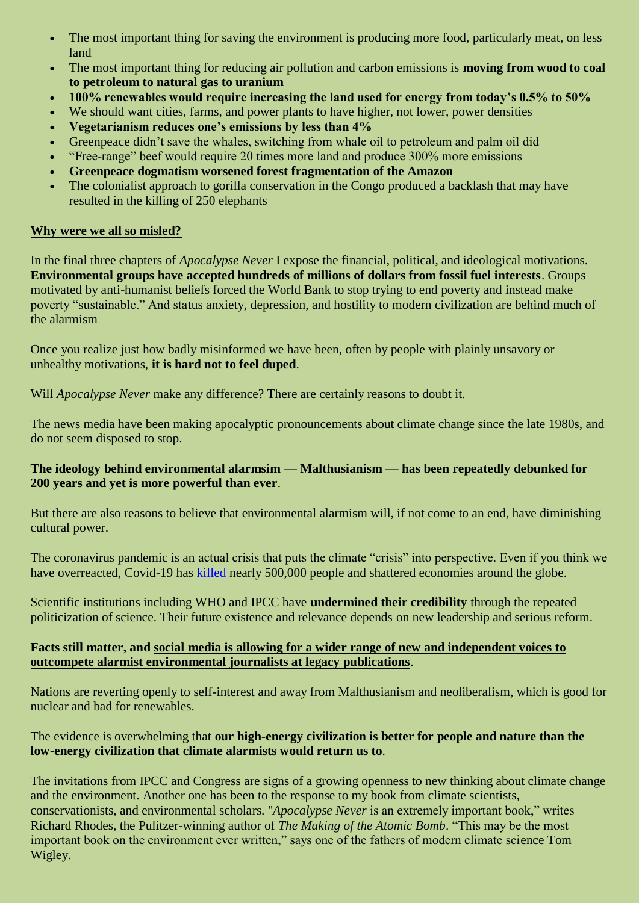- The most important thing for saving the environment is producing more food, particularly meat, on less land
- The most important thing for reducing air pollution and carbon emissions is **moving from wood to coal to petroleum to natural gas to uranium**
- **100% renewables would require increasing the land used for energy from today's 0.5% to 50%**
- We should want cities, farms, and power plants to have higher, not lower, power densities
- **Vegetarianism reduces one's emissions by less than 4%**
- Greenpeace didn't save the whales, switching from whale oil to petroleum and palm oil did
- "Free-range" beef would require 20 times more land and produce 300% more emissions
- **Greenpeace dogmatism worsened forest fragmentation of the Amazon**
- The colonialist approach to gorilla conservation in the Congo produced a backlash that may have resulted in the killing of 250 elephants

## **Why were we all so misled?**

In the final three chapters of *Apocalypse Never* I expose the financial, political, and ideological motivations. **Environmental groups have accepted hundreds of millions of dollars from fossil fuel interests**. Groups motivated by anti-humanist beliefs forced the World Bank to stop trying to end poverty and instead make poverty "sustainable." And status anxiety, depression, and hostility to modern civilization are behind much of the alarmism

Once you realize just how badly misinformed we have been, often by people with plainly unsavory or unhealthy motivations, **it is hard not to feel duped**.

Will *Apocalypse Never* make any difference? There are certainly reasons to doubt it.

The news media have been making apocalyptic pronouncements about climate change since the late 1980s, and do not seem disposed to stop.

#### **The ideology behind environmental alarmsim — Malthusianism — has been repeatedly debunked for 200 years and yet is more powerful than ever**.

But there are also reasons to believe that environmental alarmism will, if not come to an end, have diminishing cultural power.

The coronavirus pandemic is an actual crisis that puts the climate "crisis" into perspective. Even if you think we have overreacted, Covid-19 has [killed](https://covid19.who.int/?gclid=CjwKCAjw_-D3BRBIEiwAjVMy7KU0ya2ktmSUopVsnznft6PuAjAnIBH9nqxBNJA2yn2eRzXOf8l5yRoCKM0QAvD_BwE) nearly 500,000 people and shattered economies around the globe.

Scientific institutions including WHO and IPCC have **undermined their credibility** through the repeated politicization of science. Their future existence and relevance depends on new leadership and serious reform.

#### **Facts still matter, and social media is allowing for a wider range of new and independent voices to outcompete alarmist environmental journalists at legacy publications**.

Nations are reverting openly to self-interest and away from Malthusianism and neoliberalism, which is good for nuclear and bad for renewables.

## The evidence is overwhelming that **our high-energy civilization is better for people and nature than the low-energy civilization that climate alarmists would return us to**.

The invitations from IPCC and Congress are signs of a growing openness to new thinking about climate change and the environment. Another one has been to the response to my book from climate scientists, conservationists, and environmental scholars. "*Apocalypse Never* is an extremely important book," writes Richard Rhodes, the Pulitzer-winning author of *The Making of the Atomic Bomb*. "This may be the most important book on the environment ever written," says one of the fathers of modern climate science Tom Wigley.